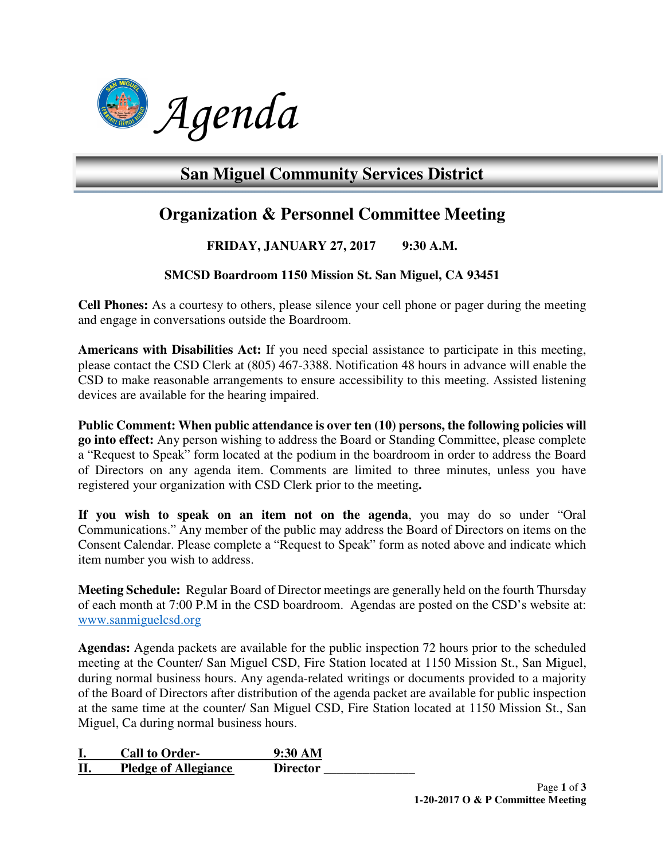

# **San Miguel Community Services District**

## **Organization & Personnel Committee Meeting**

### **FRIDAY, JANUARY 27, 2017 9:30 A.M.**

#### **SMCSD Boardroom 1150 Mission St. San Miguel, CA 93451**

**Cell Phones:** As a courtesy to others, please silence your cell phone or pager during the meeting and engage in conversations outside the Boardroom.

**Americans with Disabilities Act:** If you need special assistance to participate in this meeting, please contact the CSD Clerk at (805) 467-3388. Notification 48 hours in advance will enable the CSD to make reasonable arrangements to ensure accessibility to this meeting. Assisted listening devices are available for the hearing impaired.

**Public Comment: When public attendance is over ten (10) persons, the following policies will go into effect:** Any person wishing to address the Board or Standing Committee, please complete a "Request to Speak" form located at the podium in the boardroom in order to address the Board of Directors on any agenda item. Comments are limited to three minutes, unless you have registered your organization with CSD Clerk prior to the meeting**.** 

**If you wish to speak on an item not on the agenda**, you may do so under "Oral Communications." Any member of the public may address the Board of Directors on items on the Consent Calendar. Please complete a "Request to Speak" form as noted above and indicate which item number you wish to address.

**Meeting Schedule:** Regular Board of Director meetings are generally held on the fourth Thursday of each month at 7:00 P.M in the CSD boardroom. Agendas are posted on the CSD's website at: www.sanmiguelcsd.org

**Agendas:** Agenda packets are available for the public inspection 72 hours prior to the scheduled meeting at the Counter/ San Miguel CSD, Fire Station located at 1150 Mission St., San Miguel, during normal business hours. Any agenda-related writings or documents provided to a majority of the Board of Directors after distribution of the agenda packet are available for public inspection at the same time at the counter/ San Miguel CSD, Fire Station located at 1150 Mission St., San Miguel, Ca during normal business hours.

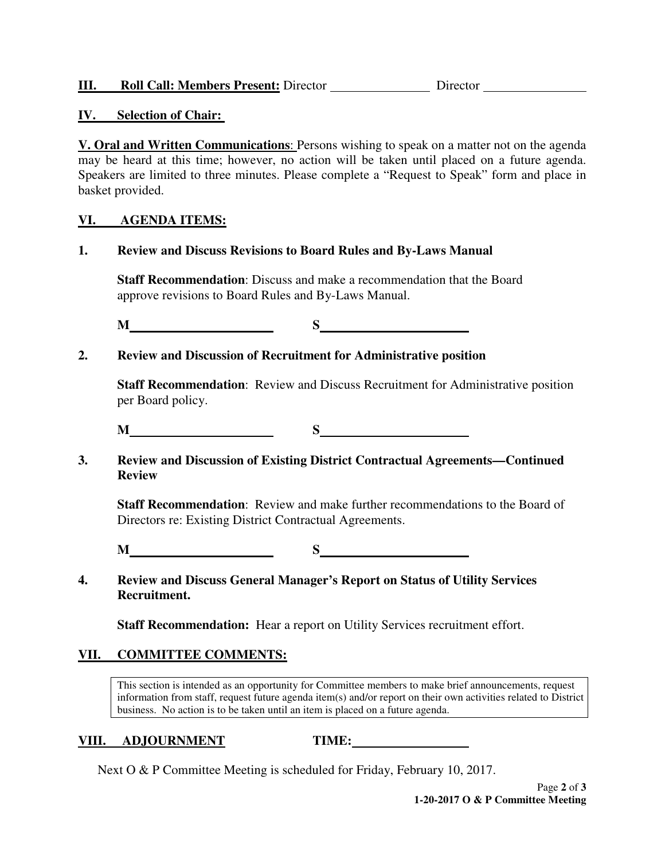#### **IV. Selection of Chair:**

**V. Oral and Written Communications**: Persons wishing to speak on a matter not on the agenda may be heard at this time; however, no action will be taken until placed on a future agenda. Speakers are limited to three minutes. Please complete a "Request to Speak" form and place in basket provided.

#### **VI. AGENDA ITEMS:**

**1. Review and Discuss Revisions to Board Rules and By-Laws Manual** 

 **Staff Recommendation**: Discuss and make a recommendation that the Board approve revisions to Board Rules and By-Laws Manual.

**M** S

**2. Review and Discussion of Recruitment for Administrative position** 

**Staff Recommendation**: Review and Discuss Recruitment for Administrative position per Board policy.

**M** S S

**3. Review and Discussion of Existing District Contractual Agreements—Continued Review** 

**Staff Recommendation**: Review and make further recommendations to the Board of Directors re: Existing District Contractual Agreements.

**M** S S

**4. Review and Discuss General Manager's Report on Status of Utility Services Recruitment.** 

 **Staff Recommendation:** Hear a report on Utility Services recruitment effort.

#### **VII. COMMITTEE COMMENTS:**

This section is intended as an opportunity for Committee members to make brief announcements, request information from staff, request future agenda item(s) and/or report on their own activities related to District business. No action is to be taken until an item is placed on a future agenda.

#### **VIII. ADJOURNMENT TIME:**

Next O & P Committee Meeting is scheduled for Friday, February 10, 2017.